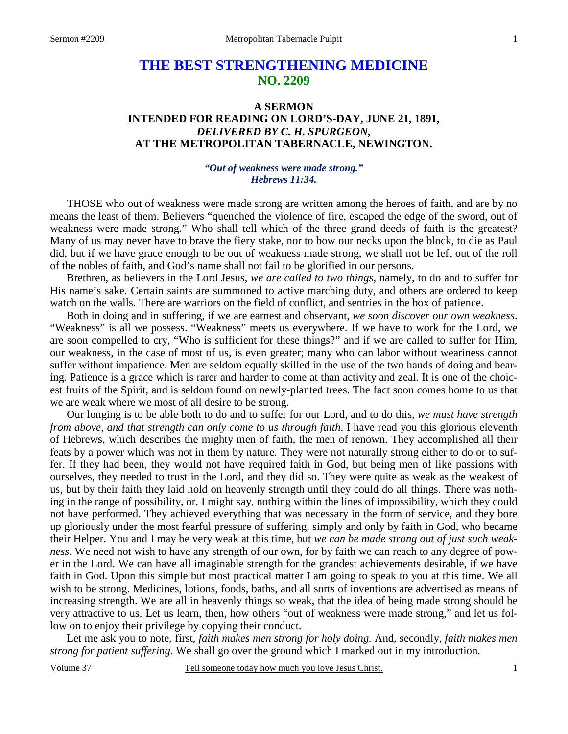# **THE BEST STRENGTHENING MEDICINE NO. 2209**

# **A SERMON INTENDED FOR READING ON LORD'S-DAY, JUNE 21, 1891,**  *DELIVERED BY C. H. SPURGEON,*  **AT THE METROPOLITAN TABERNACLE, NEWINGTON.**

#### *"Out of weakness were made strong." Hebrews 11:34.*

THOSE who out of weakness were made strong are written among the heroes of faith, and are by no means the least of them. Believers "quenched the violence of fire, escaped the edge of the sword, out of weakness were made strong." Who shall tell which of the three grand deeds of faith is the greatest? Many of us may never have to brave the fiery stake, nor to bow our necks upon the block, to die as Paul did, but if we have grace enough to be out of weakness made strong, we shall not be left out of the roll of the nobles of faith, and God's name shall not fail to be glorified in our persons.

 Brethren, as believers in the Lord Jesus, *we are called to two things,* namely, to do and to suffer for His name's sake. Certain saints are summoned to active marching duty, and others are ordered to keep watch on the walls. There are warriors on the field of conflict, and sentries in the box of patience.

 Both in doing and in suffering, if we are earnest and observant, *we soon discover our own weakness*. "Weakness" is all we possess. "Weakness" meets us everywhere. If we have to work for the Lord, we are soon compelled to cry, "Who is sufficient for these things?" and if we are called to suffer for Him, our weakness, in the case of most of us, is even greater; many who can labor without weariness cannot suffer without impatience. Men are seldom equally skilled in the use of the two hands of doing and bearing. Patience is a grace which is rarer and harder to come at than activity and zeal. It is one of the choicest fruits of the Spirit, and is seldom found on newly-planted trees. The fact soon comes home to us that we are weak where we most of all desire to be strong.

 Our longing is to be able both to do and to suffer for our Lord, and to do this, *we must have strength from above, and that strength can only come to us through faith*. I have read you this glorious eleventh of Hebrews, which describes the mighty men of faith, the men of renown. They accomplished all their feats by a power which was not in them by nature. They were not naturally strong either to do or to suffer. If they had been, they would not have required faith in God, but being men of like passions with ourselves, they needed to trust in the Lord, and they did so. They were quite as weak as the weakest of us, but by their faith they laid hold on heavenly strength until they could do all things. There was nothing in the range of possibility, or, I might say, nothing within the lines of impossibility, which they could not have performed. They achieved everything that was necessary in the form of service, and they bore up gloriously under the most fearful pressure of suffering, simply and only by faith in God, who became their Helper. You and I may be very weak at this time, but *we can be made strong out of just such weakness*. We need not wish to have any strength of our own, for by faith we can reach to any degree of power in the Lord. We can have all imaginable strength for the grandest achievements desirable, if we have faith in God. Upon this simple but most practical matter I am going to speak to you at this time. We all wish to be strong. Medicines, lotions, foods, baths, and all sorts of inventions are advertised as means of increasing strength. We are all in heavenly things so weak, that the idea of being made strong should be very attractive to us. Let us learn, then, how others "out of weakness were made strong," and let us follow on to enjoy their privilege by copying their conduct.

 Let me ask you to note, first, *faith makes men strong for holy doing.* And, secondly, *faith makes men strong for patient suffering*. We shall go over the ground which I marked out in my introduction.

Volume 37 Tell someone today how much you love Jesus Christ.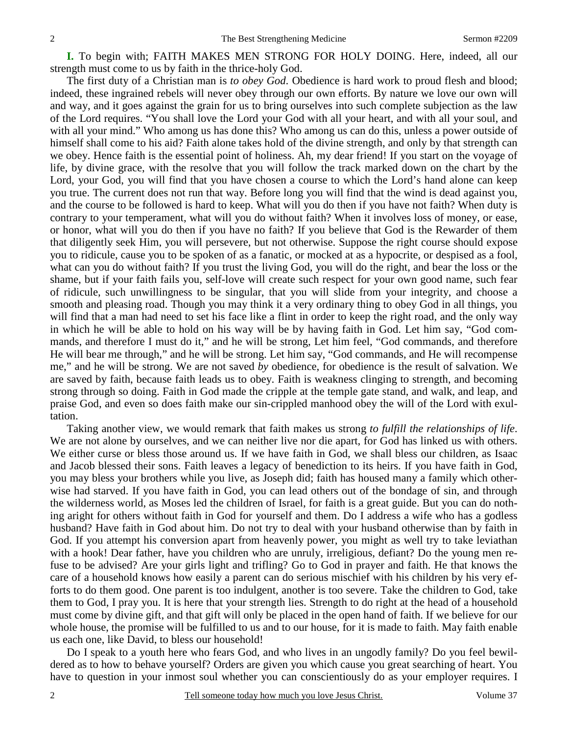**I.** To begin with; FAITH MAKES MEN STRONG FOR HOLY DOING. Here, indeed, all our strength must come to us by faith in the thrice-holy God.

 The first duty of a Christian man is *to obey God*. Obedience is hard work to proud flesh and blood; indeed, these ingrained rebels will never obey through our own efforts. By nature we love our own will and way, and it goes against the grain for us to bring ourselves into such complete subjection as the law of the Lord requires. "You shall love the Lord your God with all your heart, and with all your soul, and with all your mind." Who among us has done this? Who among us can do this, unless a power outside of himself shall come to his aid? Faith alone takes hold of the divine strength, and only by that strength can we obey. Hence faith is the essential point of holiness. Ah, my dear friend! If you start on the voyage of life, by divine grace, with the resolve that you will follow the track marked down on the chart by the Lord, your God, you will find that you have chosen a course to which the Lord's hand alone can keep you true. The current does not run that way. Before long you will find that the wind is dead against you, and the course to be followed is hard to keep. What will you do then if you have not faith? When duty is contrary to your temperament, what will you do without faith? When it involves loss of money, or ease, or honor, what will you do then if you have no faith? If you believe that God is the Rewarder of them that diligently seek Him, you will persevere, but not otherwise. Suppose the right course should expose you to ridicule, cause you to be spoken of as a fanatic, or mocked at as a hypocrite, or despised as a fool, what can you do without faith? If you trust the living God, you will do the right, and bear the loss or the shame, but if your faith fails you, self-love will create such respect for your own good name, such fear of ridicule, such unwillingness to be singular, that you will slide from your integrity, and choose a smooth and pleasing road. Though you may think it a very ordinary thing to obey God in all things, you will find that a man had need to set his face like a flint in order to keep the right road, and the only way in which he will be able to hold on his way will be by having faith in God. Let him say, "God commands, and therefore I must do it," and he will be strong, Let him feel, "God commands, and therefore He will bear me through," and he will be strong. Let him say, "God commands, and He will recompense me," and he will be strong. We are not saved *by* obedience, for obedience is the result of salvation. We are saved by faith, because faith leads us to obey. Faith is weakness clinging to strength, and becoming strong through so doing. Faith in God made the cripple at the temple gate stand, and walk, and leap, and praise God, and even so does faith make our sin-crippled manhood obey the will of the Lord with exultation.

 Taking another view, we would remark that faith makes us strong *to fulfill the relationships of life*. We are not alone by ourselves, and we can neither live nor die apart, for God has linked us with others. We either curse or bless those around us. If we have faith in God, we shall bless our children, as Isaac and Jacob blessed their sons. Faith leaves a legacy of benediction to its heirs. If you have faith in God, you may bless your brothers while you live, as Joseph did; faith has housed many a family which otherwise had starved. If you have faith in God, you can lead others out of the bondage of sin, and through the wilderness world, as Moses led the children of Israel, for faith is a great guide. But you can do nothing aright for others without faith in God for yourself and them. Do I address a wife who has a godless husband? Have faith in God about him. Do not try to deal with your husband otherwise than by faith in God. If you attempt his conversion apart from heavenly power, you might as well try to take leviathan with a hook! Dear father, have you children who are unruly, irreligious, defiant? Do the young men refuse to be advised? Are your girls light and trifling? Go to God in prayer and faith. He that knows the care of a household knows how easily a parent can do serious mischief with his children by his very efforts to do them good. One parent is too indulgent, another is too severe. Take the children to God, take them to God, I pray you. It is here that your strength lies. Strength to do right at the head of a household must come by divine gift, and that gift will only be placed in the open hand of faith. If we believe for our whole house, the promise will be fulfilled to us and to our house, for it is made to faith. May faith enable us each one, like David, to bless our household!

 Do I speak to a youth here who fears God, and who lives in an ungodly family? Do you feel bewildered as to how to behave yourself? Orders are given you which cause you great searching of heart. You have to question in your inmost soul whether you can conscientiously do as your employer requires. I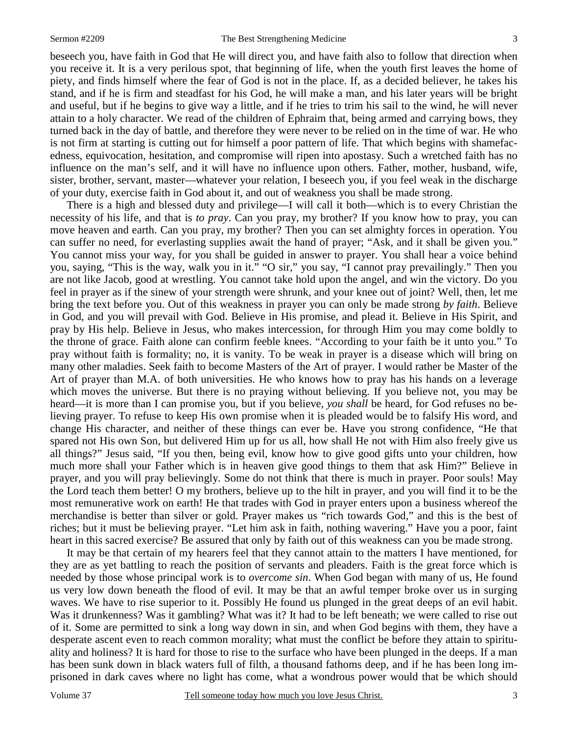beseech you, have faith in God that He will direct you, and have faith also to follow that direction when you receive it. It is a very perilous spot, that beginning of life, when the youth first leaves the home of piety, and finds himself where the fear of God is not in the place. If, as a decided believer, he takes his stand, and if he is firm and steadfast for his God, he will make a man, and his later years will be bright and useful, but if he begins to give way a little, and if he tries to trim his sail to the wind, he will never attain to a holy character. We read of the children of Ephraim that, being armed and carrying bows, they turned back in the day of battle, and therefore they were never to be relied on in the time of war. He who is not firm at starting is cutting out for himself a poor pattern of life. That which begins with shamefacedness, equivocation, hesitation, and compromise will ripen into apostasy. Such a wretched faith has no influence on the man's self, and it will have no influence upon others. Father, mother, husband, wife, sister, brother, servant, master—whatever your relation, I beseech you, if you feel weak in the discharge of your duty, exercise faith in God about it, and out of weakness you shall be made strong.

 There is a high and blessed duty and privilege—I will call it both—which is to every Christian the necessity of his life, and that is *to pray*. Can you pray, my brother? If you know how to pray, you can move heaven and earth. Can you pray, my brother? Then you can set almighty forces in operation. You can suffer no need, for everlasting supplies await the hand of prayer; "Ask, and it shall be given you." You cannot miss your way, for you shall be guided in answer to prayer. You shall hear a voice behind you, saying, "This is the way, walk you in it." "O sir," you say, "I cannot pray prevailingly." Then you are not like Jacob, good at wrestling. You cannot take hold upon the angel, and win the victory. Do you feel in prayer as if the sinew of your strength were shrunk, and your knee out of joint? Well, then, let me bring the text before you. Out of this weakness in prayer you can only be made strong *by faith*. Believe in God, and you will prevail with God. Believe in His promise, and plead it. Believe in His Spirit, and pray by His help. Believe in Jesus, who makes intercession, for through Him you may come boldly to the throne of grace. Faith alone can confirm feeble knees. "According to your faith be it unto you." To pray without faith is formality; no, it is vanity. To be weak in prayer is a disease which will bring on many other maladies. Seek faith to become Masters of the Art of prayer. I would rather be Master of the Art of prayer than M.A. of both universities. He who knows how to pray has his hands on a leverage which moves the universe. But there is no praying without believing. If you believe not, you may be heard—it is more than I can promise you, but if you believe, *you shall* be heard, for God refuses no believing prayer. To refuse to keep His own promise when it is pleaded would be to falsify His word, and change His character, and neither of these things can ever be. Have you strong confidence, "He that spared not His own Son, but delivered Him up for us all, how shall He not with Him also freely give us all things?" Jesus said, "If you then, being evil, know how to give good gifts unto your children, how much more shall your Father which is in heaven give good things to them that ask Him?" Believe in prayer, and you will pray believingly. Some do not think that there is much in prayer. Poor souls! May the Lord teach them better! O my brothers, believe up to the hilt in prayer, and you will find it to be the most remunerative work on earth! He that trades with God in prayer enters upon a business whereof the merchandise is better than silver or gold. Prayer makes us "rich towards God," and this is the best of riches; but it must be believing prayer. "Let him ask in faith, nothing wavering." Have you a poor, faint heart in this sacred exercise? Be assured that only by faith out of this weakness can you be made strong.

 It may be that certain of my hearers feel that they cannot attain to the matters I have mentioned, for they are as yet battling to reach the position of servants and pleaders. Faith is the great force which is needed by those whose principal work is to *overcome sin*. When God began with many of us, He found us very low down beneath the flood of evil. It may be that an awful temper broke over us in surging waves. We have to rise superior to it. Possibly He found us plunged in the great deeps of an evil habit. Was it drunkenness? Was it gambling? What was it? It had to be left beneath; we were called to rise out of it. Some are permitted to sink a long way down in sin, and when God begins with them, they have a desperate ascent even to reach common morality; what must the conflict be before they attain to spirituality and holiness? It is hard for those to rise to the surface who have been plunged in the deeps. If a man has been sunk down in black waters full of filth, a thousand fathoms deep, and if he has been long imprisoned in dark caves where no light has come, what a wondrous power would that be which should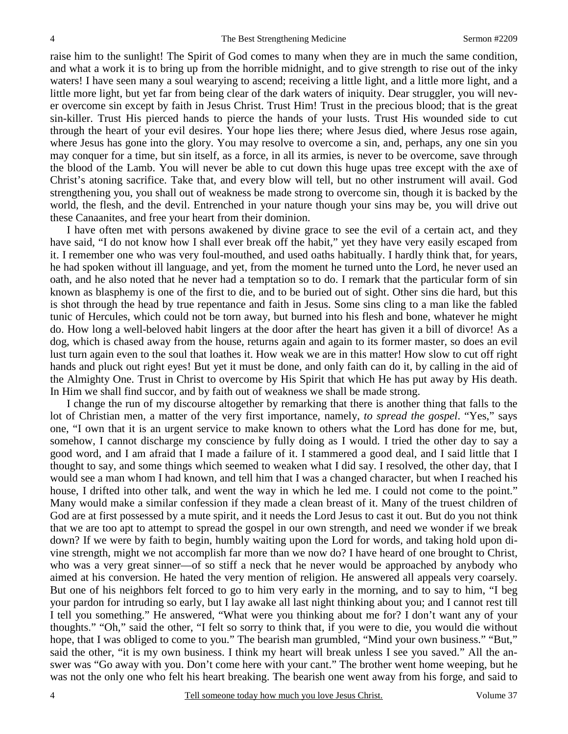raise him to the sunlight! The Spirit of God comes to many when they are in much the same condition, and what a work it is to bring up from the horrible midnight, and to give strength to rise out of the inky waters! I have seen many a soul wearying to ascend; receiving a little light, and a little more light, and a little more light, but yet far from being clear of the dark waters of iniquity. Dear struggler, you will never overcome sin except by faith in Jesus Christ. Trust Him! Trust in the precious blood; that is the great sin-killer. Trust His pierced hands to pierce the hands of your lusts. Trust His wounded side to cut through the heart of your evil desires. Your hope lies there; where Jesus died, where Jesus rose again, where Jesus has gone into the glory. You may resolve to overcome a sin, and, perhaps, any one sin you may conquer for a time, but sin itself, as a force, in all its armies, is never to be overcome, save through the blood of the Lamb. You will never be able to cut down this huge upas tree except with the axe of Christ's atoning sacrifice. Take that, and every blow will tell, but no other instrument will avail. God strengthening you, you shall out of weakness be made strong to overcome sin, though it is backed by the world, the flesh, and the devil. Entrenched in your nature though your sins may be, you will drive out these Canaanites, and free your heart from their dominion.

 I have often met with persons awakened by divine grace to see the evil of a certain act, and they have said, "I do not know how I shall ever break off the habit," yet they have very easily escaped from it. I remember one who was very foul-mouthed, and used oaths habitually. I hardly think that, for years, he had spoken without ill language, and yet, from the moment he turned unto the Lord, he never used an oath, and he also noted that he never had a temptation so to do. I remark that the particular form of sin known as blasphemy is one of the first to die, and to be buried out of sight. Other sins die hard, but this is shot through the head by true repentance and faith in Jesus. Some sins cling to a man like the fabled tunic of Hercules, which could not be torn away, but burned into his flesh and bone, whatever he might do. How long a well-beloved habit lingers at the door after the heart has given it a bill of divorce! As a dog, which is chased away from the house, returns again and again to its former master, so does an evil lust turn again even to the soul that loathes it. How weak we are in this matter! How slow to cut off right hands and pluck out right eyes! But yet it must be done, and only faith can do it, by calling in the aid of the Almighty One. Trust in Christ to overcome by His Spirit that which He has put away by His death. In Him we shall find succor, and by faith out of weakness we shall be made strong.

 I change the run of my discourse altogether by remarking that there is another thing that falls to the lot of Christian men, a matter of the very first importance, namely, *to spread the gospel*. "Yes," says one, "I own that it is an urgent service to make known to others what the Lord has done for me, but, somehow, I cannot discharge my conscience by fully doing as I would. I tried the other day to say a good word, and I am afraid that I made a failure of it. I stammered a good deal, and I said little that I thought to say, and some things which seemed to weaken what I did say. I resolved, the other day, that I would see a man whom I had known, and tell him that I was a changed character, but when I reached his house, I drifted into other talk, and went the way in which he led me. I could not come to the point." Many would make a similar confession if they made a clean breast of it. Many of the truest children of God are at first possessed by a mute spirit, and it needs the Lord Jesus to cast it out. But do you not think that we are too apt to attempt to spread the gospel in our own strength, and need we wonder if we break down? If we were by faith to begin, humbly waiting upon the Lord for words, and taking hold upon divine strength, might we not accomplish far more than we now do? I have heard of one brought to Christ, who was a very great sinner—of so stiff a neck that he never would be approached by anybody who aimed at his conversion. He hated the very mention of religion. He answered all appeals very coarsely. But one of his neighbors felt forced to go to him very early in the morning, and to say to him, "I beg your pardon for intruding so early, but I lay awake all last night thinking about you; and I cannot rest till I tell you something." He answered, "What were you thinking about me for? I don't want any of your thoughts." "Oh," said the other, "I felt so sorry to think that, if you were to die, you would die without hope, that I was obliged to come to you." The bearish man grumbled, "Mind your own business." "But," said the other, "it is my own business. I think my heart will break unless I see you saved." All the answer was "Go away with you. Don't come here with your cant." The brother went home weeping, but he was not the only one who felt his heart breaking. The bearish one went away from his forge, and said to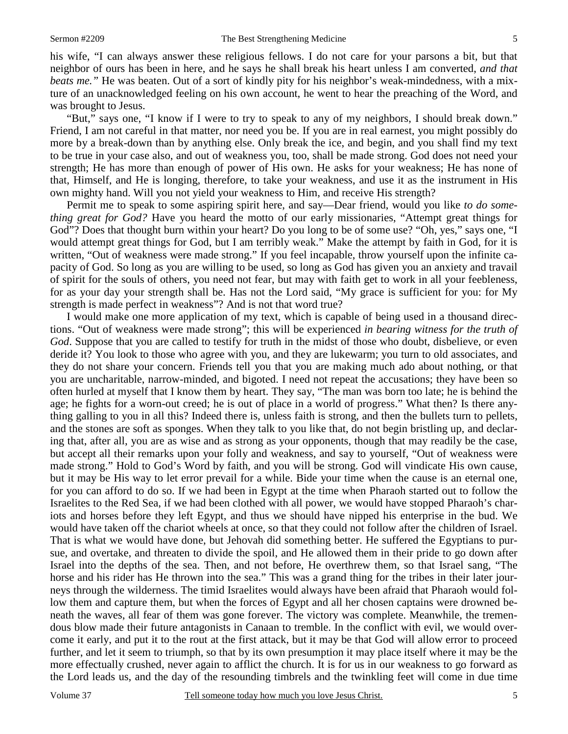his wife, "I can always answer these religious fellows. I do not care for your parsons a bit, but that neighbor of ours has been in here, and he says he shall break his heart unless I am converted, *and that beats me."* He was beaten. Out of a sort of kindly pity for his neighbor's weak-mindedness, with a mixture of an unacknowledged feeling on his own account, he went to hear the preaching of the Word, and was brought to Jesus.

 "But," says one, "I know if I were to try to speak to any of my neighbors, I should break down." Friend, I am not careful in that matter, nor need you be. If you are in real earnest, you might possibly do more by a break-down than by anything else. Only break the ice, and begin, and you shall find my text to be true in your case also, and out of weakness you, too, shall be made strong. God does not need your strength; He has more than enough of power of His own. He asks for your weakness; He has none of that, Himself, and He is longing, therefore, to take your weakness, and use it as the instrument in His own mighty hand. Will you not yield your weakness to Him, and receive His strength?

 Permit me to speak to some aspiring spirit here, and say—Dear friend, would you like *to do something great for God?* Have you heard the motto of our early missionaries, "Attempt great things for God"? Does that thought burn within your heart? Do you long to be of some use? "Oh, yes," says one, "I would attempt great things for God, but I am terribly weak." Make the attempt by faith in God, for it is written, "Out of weakness were made strong." If you feel incapable, throw yourself upon the infinite capacity of God. So long as you are willing to be used, so long as God has given you an anxiety and travail of spirit for the souls of others, you need not fear, but may with faith get to work in all your feebleness, for as your day your strength shall be. Has not the Lord said, "My grace is sufficient for you: for My strength is made perfect in weakness"? And is not that word true?

 I would make one more application of my text, which is capable of being used in a thousand directions. "Out of weakness were made strong"; this will be experienced *in bearing witness for the truth of God*. Suppose that you are called to testify for truth in the midst of those who doubt, disbelieve, or even deride it? You look to those who agree with you, and they are lukewarm; you turn to old associates, and they do not share your concern. Friends tell you that you are making much ado about nothing, or that you are uncharitable, narrow-minded, and bigoted. I need not repeat the accusations; they have been so often hurled at myself that I know them by heart. They say, "The man was born too late; he is behind the age; he fights for a worn-out creed; he is out of place in a world of progress." What then? Is there anything galling to you in all this? Indeed there is, unless faith is strong, and then the bullets turn to pellets, and the stones are soft as sponges. When they talk to you like that, do not begin bristling up, and declaring that, after all, you are as wise and as strong as your opponents, though that may readily be the case, but accept all their remarks upon your folly and weakness, and say to yourself, "Out of weakness were made strong." Hold to God's Word by faith, and you will be strong. God will vindicate His own cause, but it may be His way to let error prevail for a while. Bide your time when the cause is an eternal one, for you can afford to do so. If we had been in Egypt at the time when Pharaoh started out to follow the Israelites to the Red Sea, if we had been clothed with all power, we would have stopped Pharaoh's chariots and horses before they left Egypt, and thus we should have nipped his enterprise in the bud. We would have taken off the chariot wheels at once, so that they could not follow after the children of Israel. That is what we would have done, but Jehovah did something better. He suffered the Egyptians to pursue, and overtake, and threaten to divide the spoil, and He allowed them in their pride to go down after Israel into the depths of the sea. Then, and not before, He overthrew them, so that Israel sang, "The horse and his rider has He thrown into the sea." This was a grand thing for the tribes in their later journeys through the wilderness. The timid Israelites would always have been afraid that Pharaoh would follow them and capture them, but when the forces of Egypt and all her chosen captains were drowned beneath the waves, all fear of them was gone forever. The victory was complete. Meanwhile, the tremendous blow made their future antagonists in Canaan to tremble. In the conflict with evil, we would overcome it early, and put it to the rout at the first attack, but it may be that God will allow error to proceed further, and let it seem to triumph, so that by its own presumption it may place itself where it may be the more effectually crushed, never again to afflict the church. It is for us in our weakness to go forward as the Lord leads us, and the day of the resounding timbrels and the twinkling feet will come in due time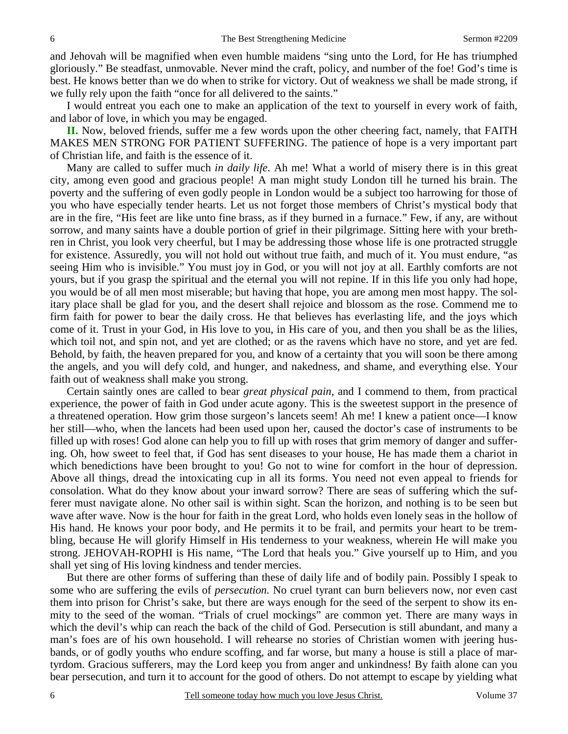and Jehovah will be magnified when even humble maidens "sing unto the Lord, for He has triumphed gloriously." Be steadfast, unmovable. Never mind the craft, policy, and number of the foe! God's time is best. He knows better than we do when to strike for victory. Out of weakness we shall be made strong, if we fully rely upon the faith "once for all delivered to the saints."

 I would entreat you each one to make an application of the text to yourself in every work of faith, and labor of love, in which you may be engaged.

**II.** Now, beloved friends, suffer me a few words upon the other cheering fact, namely, that FAITH MAKES MEN STRONG FOR PATIENT SUFFERING. The patience of hope is a very important part of Christian life, and faith is the essence of it.

 Many are called to suffer much *in daily life*. Ah me! What a world of misery there is in this great city, among even good and gracious people! A man might study London till he turned his brain. The poverty and the suffering of even godly people in London would be a subject too harrowing for those of you who have especially tender hearts. Let us not forget those members of Christ's mystical body that are in the fire, "His feet are like unto fine brass, as if they burned in a furnace." Few, if any, are without sorrow, and many saints have a double portion of grief in their pilgrimage. Sitting here with your brethren in Christ, you look very cheerful, but I may be addressing those whose life is one protracted struggle for existence. Assuredly, you will not hold out without true faith, and much of it. You must endure, "as seeing Him who is invisible." You must joy in God, or you will not joy at all. Earthly comforts are not yours, but if you grasp the spiritual and the eternal you will not repine. If in this life you only had hope, you would be of all men most miserable; but having that hope, you are among men most happy. The solitary place shall be glad for you, and the desert shall rejoice and blossom as the rose. Commend me to firm faith for power to bear the daily cross. He that believes has everlasting life, and the joys which come of it. Trust in your God, in His love to you, in His care of you, and then you shall be as the lilies, which toil not, and spin not, and yet are clothed; or as the ravens which have no store, and yet are fed. Behold, by faith, the heaven prepared for you, and know of a certainty that you will soon be there among the angels, and you will defy cold, and hunger, and nakedness, and shame, and everything else. Your faith out of weakness shall make you strong.

 Certain saintly ones are called to bear *great physical pain,* and I commend to them, from practical experience, the power of faith in God under acute agony. This is the sweetest support in the presence of a threatened operation. How grim those surgeon's lancets seem! Ah me! I knew a patient once—I know her still—who, when the lancets had been used upon her, caused the doctor's case of instruments to be filled up with roses! God alone can help you to fill up with roses that grim memory of danger and suffering. Oh, how sweet to feel that, if God has sent diseases to your house, He has made them a chariot in which benedictions have been brought to you! Go not to wine for comfort in the hour of depression. Above all things, dread the intoxicating cup in all its forms. You need not even appeal to friends for consolation. What do they know about your inward sorrow? There are seas of suffering which the sufferer must navigate alone. No other sail is within sight. Scan the horizon, and nothing is to be seen but wave after wave. Now is the hour for faith in the great Lord, who holds even lonely seas in the hollow of His hand. He knows your poor body, and He permits it to be frail, and permits your heart to be trembling, because He will glorify Himself in His tenderness to your weakness, wherein He will make you strong. JEHOVAH-ROPHI is His name, "The Lord that heals you." Give yourself up to Him, and you shall yet sing of His loving kindness and tender mercies.

 But there are other forms of suffering than these of daily life and of bodily pain. Possibly I speak to some who are suffering the evils of *persecution.* No cruel tyrant can burn believers now, nor even cast them into prison for Christ's sake, but there are ways enough for the seed of the serpent to show its enmity to the seed of the woman. "Trials of cruel mockings" are common yet. There are many ways in which the devil's whip can reach the back of the child of God. Persecution is still abundant, and many a man's foes are of his own household. I will rehearse no stories of Christian women with jeering husbands, or of godly youths who endure scoffing, and far worse, but many a house is still a place of martyrdom. Gracious sufferers, may the Lord keep you from anger and unkindness! By faith alone can you bear persecution, and turn it to account for the good of others. Do not attempt to escape by yielding what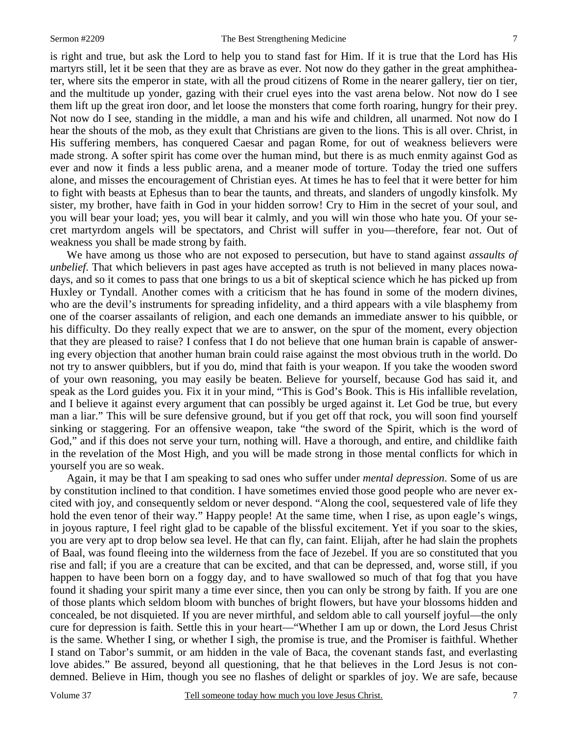is right and true, but ask the Lord to help you to stand fast for Him. If it is true that the Lord has His martyrs still, let it be seen that they are as brave as ever. Not now do they gather in the great amphitheater, where sits the emperor in state, with all the proud citizens of Rome in the nearer gallery, tier on tier, and the multitude up yonder, gazing with their cruel eyes into the vast arena below. Not now do I see them lift up the great iron door, and let loose the monsters that come forth roaring, hungry for their prey. Not now do I see, standing in the middle, a man and his wife and children, all unarmed. Not now do I hear the shouts of the mob, as they exult that Christians are given to the lions. This is all over. Christ, in His suffering members, has conquered Caesar and pagan Rome, for out of weakness believers were made strong. A softer spirit has come over the human mind, but there is as much enmity against God as ever and now it finds a less public arena, and a meaner mode of torture. Today the tried one suffers alone, and misses the encouragement of Christian eyes. At times he has to feel that it were better for him to fight with beasts at Ephesus than to bear the taunts, and threats, and slanders of ungodly kinsfolk. My sister, my brother, have faith in God in your hidden sorrow! Cry to Him in the secret of your soul, and you will bear your load; yes, you will bear it calmly, and you will win those who hate you. Of your secret martyrdom angels will be spectators, and Christ will suffer in you—therefore, fear not. Out of weakness you shall be made strong by faith.

 We have among us those who are not exposed to persecution, but have to stand against *assaults of unbelief*. That which believers in past ages have accepted as truth is not believed in many places nowadays, and so it comes to pass that one brings to us a bit of skeptical science which he has picked up from Huxley or Tyndall. Another comes with a criticism that he has found in some of the modern divines, who are the devil's instruments for spreading infidelity, and a third appears with a vile blasphemy from one of the coarser assailants of religion, and each one demands an immediate answer to his quibble, or his difficulty. Do they really expect that we are to answer, on the spur of the moment, every objection that they are pleased to raise? I confess that I do not believe that one human brain is capable of answering every objection that another human brain could raise against the most obvious truth in the world. Do not try to answer quibblers, but if you do, mind that faith is your weapon. If you take the wooden sword of your own reasoning, you may easily be beaten. Believe for yourself, because God has said it, and speak as the Lord guides you. Fix it in your mind, "This is God's Book. This is His infallible revelation, and I believe it against every argument that can possibly be urged against it. Let God be true, but every man a liar." This will be sure defensive ground, but if you get off that rock, you will soon find yourself sinking or staggering. For an offensive weapon, take "the sword of the Spirit, which is the word of God," and if this does not serve your turn, nothing will. Have a thorough, and entire, and childlike faith in the revelation of the Most High, and you will be made strong in those mental conflicts for which in yourself you are so weak.

 Again, it may be that I am speaking to sad ones who suffer under *mental depression*. Some of us are by constitution inclined to that condition. I have sometimes envied those good people who are never excited with joy, and consequently seldom or never despond. "Along the cool, sequestered vale of life they hold the even tenor of their way." Happy people! At the same time, when I rise, as upon eagle's wings, in joyous rapture, I feel right glad to be capable of the blissful excitement. Yet if you soar to the skies, you are very apt to drop below sea level. He that can fly, can faint. Elijah, after he had slain the prophets of Baal, was found fleeing into the wilderness from the face of Jezebel. If you are so constituted that you rise and fall; if you are a creature that can be excited, and that can be depressed, and, worse still, if you happen to have been born on a foggy day, and to have swallowed so much of that fog that you have found it shading your spirit many a time ever since, then you can only be strong by faith. If you are one of those plants which seldom bloom with bunches of bright flowers, but have your blossoms hidden and concealed, be not disquieted. If you are never mirthful, and seldom able to call yourself joyful—the only cure for depression is faith. Settle this in your heart—"Whether I am up or down, the Lord Jesus Christ is the same. Whether I sing, or whether I sigh, the promise is true, and the Promiser is faithful. Whether I stand on Tabor's summit, or am hidden in the vale of Baca, the covenant stands fast, and everlasting love abides." Be assured, beyond all questioning, that he that believes in the Lord Jesus is not condemned. Believe in Him, though you see no flashes of delight or sparkles of joy. We are safe, because